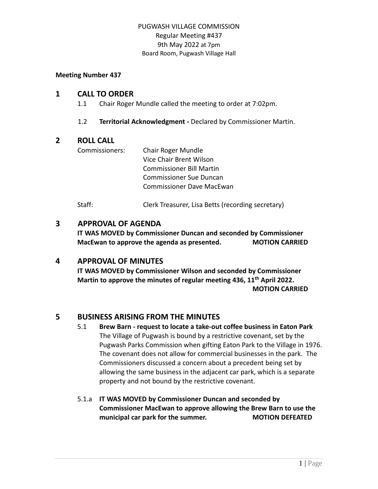#### **Meeting Number 437**

## **1 CALL TO ORDER**

- 1.1 Chair Roger Mundle called the meeting to order at 7:02pm.
- 1.2 **Territorial Acknowledgment -** Declared by Commissioner Martin.

# **2 ROLL CALL**

Commissioners: Chair Roger Mundle Vice Chair Brent Wilson Commissioner Bill Martin Commissioner Sue Duncan Commissioner Dave MacEwan

Staff: Clerk Treasurer, Lisa Betts (recording secretary)

# **3 APPROVAL OF AGENDA**

**IT WAS MOVED by Commissioner Duncan and seconded by Commissioner MacEwan to approve the agenda as presented. MOTION CARRIED**

# **4 APPROVAL OF MINUTES**

**IT WAS MOVED by Commissioner Wilson and seconded by Commissioner Martin to approve the minutes of regular meeting 436, 11th April 2022. MOTION CARRIED**

# **5 BUSINESS ARISING FROM THE MINUTES**

- 5.1 **Brew Barn - request to locate a take-out coffee business in Eaton Park** The Village of Pugwash is bound by a restrictive covenant, set by the Pugwash Parks Commission when gifting Eaton Park to the Village in 1976. The covenant does not allow for commercial businesses in the park. The Commissioners discussed a concern about a precedent being set by allowing the same business in the adjacent car park, which is a separate property and not bound by the restrictive covenant.
- 5.1.a **IT WAS MOVED by Commissioner Duncan and seconded by Commissioner MacEwan to approve allowing the Brew Barn to use the municipal car park for the summer. MOTION DEFEATED**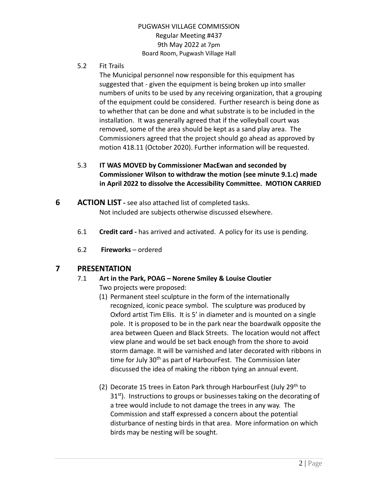5.2 Fit Trails

The Municipal personnel now responsible for this equipment has suggested that - given the equipment is being broken up into smaller numbers of units to be used by any receiving organization, that a grouping of the equipment could be considered. Further research is being done as to whether that can be done and what substrate is to be included in the installation. It was generally agreed that if the volleyball court was removed, some of the area should be kept as a sand play area. The Commissioners agreed that the project should go ahead as approved by motion 418.11 (October 2020). Further information will be requested.

- 5.3 **IT WAS MOVED by Commissioner MacEwan and seconded by Commissioner Wilson to withdraw the motion (see minute 9.1.c) made in April 2022 to dissolve the Accessibility Committee. MOTION CARRIED**
- **6 ACTION LIST -** see also attached list of completed tasks. Not included are subjects otherwise discussed elsewhere.
	- 6.1 **Credit card -** has arrived and activated. A policy for its use is pending.
	- 6.2 **Fireworks** ordered

# **7 PRESENTATION**

- 7.1 **Art in the Park, POAG – Norene Smiley & Louise Cloutier** Two projects were proposed:
	- (1) Permanent steel sculpture in the form of the internationally recognized, iconic peace symbol. The sculpture was produced by Oxford artist Tim Ellis. It is 5' in diameter and is mounted on a single pole. It is proposed to be in the park near the boardwalk opposite the area between Queen and Black Streets. The location would not affect view plane and would be set back enough from the shore to avoid storm damage. It will be varnished and later decorated with ribbons in time for July 30<sup>th</sup> as part of HarbourFest. The Commission later discussed the idea of making the ribbon tying an annual event.
	- (2) Decorate 15 trees in Eaton Park through HarbourFest (July 29<sup>th</sup> to 31<sup>st</sup>). Instructions to groups or businesses taking on the decorating of a tree would include to not damage the trees in any way. The Commission and staff expressed a concern about the potential disturbance of nesting birds in that area. More information on which birds may be nesting will be sought.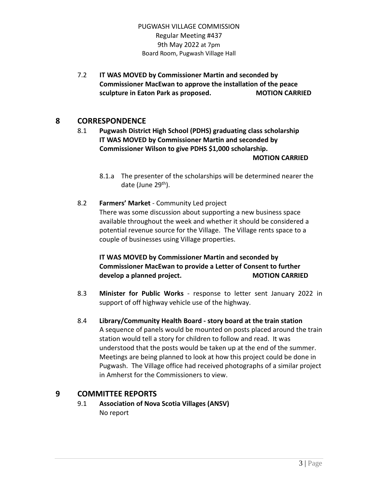7.2 **IT WAS MOVED by Commissioner Martin and seconded by Commissioner MacEwan to approve the installation of the peace sculpture in Eaton Park as proposed. MOTION CARRIED**

# **8 CORRESPONDENCE**

- 8.1 **Pugwash District High School (PDHS) graduating class scholarship IT WAS MOVED by Commissioner Martin and seconded by Commissioner Wilson to give PDHS \$1,000 scholarship. MOTION CARRIED**
	- 8.1.a The presenter of the scholarships will be determined nearer the date (June 29<sup>th</sup>).
- 8.2 **Farmers' Market** Community Led project There was some discussion about supporting a new business space available throughout the week and whether it should be considered a potential revenue source for the Village. The Village rents space to a couple of businesses using Village properties.

# **IT WAS MOVED by Commissioner Martin and seconded by Commissioner MacEwan to provide a Letter of Consent to further develop** a planned project. **MOTION CARRIED**

- 8.3 **Minister for Public Works** response to letter sent January 2022 in support of off highway vehicle use of the highway.
- 8.4 **Library/Community Health Board - story board at the train station** A sequence of panels would be mounted on posts placed around the train station would tell a story for children to follow and read. It was understood that the posts would be taken up at the end of the summer. Meetings are being planned to look at how this project could be done in Pugwash. The Village office had received photographs of a similar project in Amherst for the Commissioners to view.

# **9 COMMITTEE REPORTS**

9.1 **Association of Nova Scotia Villages (ANSV)** No report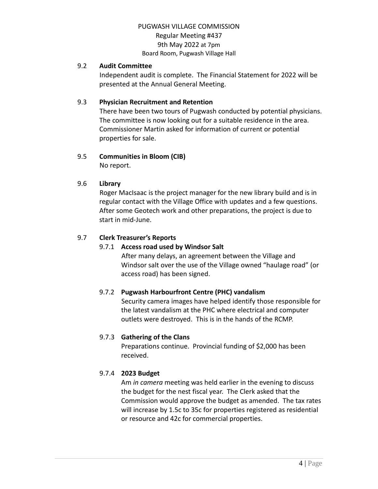### 9.2 **Audit Committee**

Independent audit is complete. The Financial Statement for 2022 will be presented at the Annual General Meeting.

## 9.3 **Physician Recruitment and Retention**

There have been two tours of Pugwash conducted by potential physicians. The committee is now looking out for a suitable residence in the area. Commissioner Martin asked for information of current or potential properties for sale.

### 9.5 **Communities in Bloom (CIB)**

No report.

### 9.6 **Library**

Roger MacIsaac is the project manager for the new library build and is in regular contact with the Village Office with updates and a few questions. After some Geotech work and other preparations, the project is due to start in mid-June.

### 9.7 **Clerk Treasurer's Reports**

# 9.7.1 **Access road used by Windsor Salt**

After many delays, an agreement between the Village and Windsor salt over the use of the Village owned "haulage road" (or access road) has been signed.

# 9.7.2 **Pugwash Harbourfront Centre (PHC) vandalism**

Security camera images have helped identify those responsible for the latest vandalism at the PHC where electrical and computer outlets were destroyed. This is in the hands of the RCMP.

#### 9.7.3 **Gathering of the Clans**

Preparations continue. Provincial funding of \$2,000 has been received.

# 9.7.4 **2023 Budget**

Am *in camera* meeting was held earlier in the evening to discuss the budget for the nest fiscal year. The Clerk asked that the Commission would approve the budget as amended. The tax rates will increase by 1.5c to 35c for properties registered as residential or resource and 42c for commercial properties.